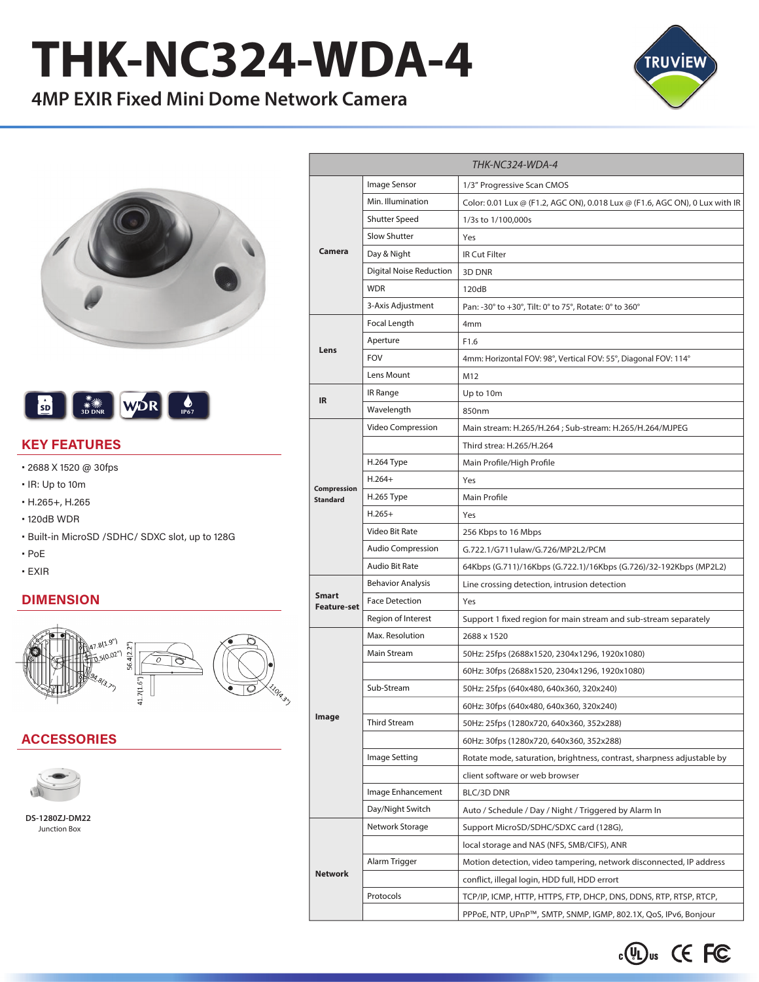# **THK-NC324-WDA-4**

## **4MP EXIR Fixed Mini Dome Network Camera**







#### **KEY FEATURES**

- 2688 X 1520 @ 30fps
- IR: Up to 10m
- H.265+, H.265
- 120dB WDR
- Built-in MicroSD /SDHC/ SDXC slot, up to 128G
- PoE
- EXIR

#### **DIMENSION**



#### **ACCESSORIES**



**DS-1280ZJ-DM22** Junction Box

|                                |                          | THK-NC324-WDA-4                                                             |  |  |
|--------------------------------|--------------------------|-----------------------------------------------------------------------------|--|--|
| Camera                         | Image Sensor             | 1/3" Progressive Scan CMOS                                                  |  |  |
|                                | Min. Illumination        | Color: 0.01 Lux @ (F1.2, AGC ON), 0.018 Lux @ (F1.6, AGC ON), 0 Lux with IR |  |  |
|                                | <b>Shutter Speed</b>     | 1/3s to 1/100,000s                                                          |  |  |
|                                | Slow Shutter             | Yes                                                                         |  |  |
|                                | Day & Night              | <b>IR Cut Filter</b>                                                        |  |  |
|                                | Digital Noise Reduction  | 3D DNR                                                                      |  |  |
|                                | <b>WDR</b>               | 120dB                                                                       |  |  |
|                                | 3-Axis Adjustment        | Pan: -30° to +30°, Tilt: 0° to 75°, Rotate: 0° to 360°                      |  |  |
| Lens                           | Focal Length             | 4 <sub>mm</sub>                                                             |  |  |
|                                | Aperture                 | F1.6                                                                        |  |  |
|                                | <b>FOV</b>               | 4mm: Horizontal FOV: 98°, Vertical FOV: 55°, Diagonal FOV: 114°             |  |  |
|                                | Lens Mount               | M12                                                                         |  |  |
| IR                             | IR Range                 | Up to 10m                                                                   |  |  |
|                                | Wavelength               | 850nm                                                                       |  |  |
|                                | Video Compression        | Main stream: H.265/H.264 ; Sub-stream: H.265/H.264/MJPEG                    |  |  |
|                                |                          | Third strea: H.265/H.264                                                    |  |  |
|                                | H.264 Type               | Main Profile/High Profile                                                   |  |  |
|                                | $H.264+$                 | Yes                                                                         |  |  |
| Compression<br><b>Standard</b> | H.265 Type               | Main Profile                                                                |  |  |
|                                | $H.265+$                 | Yes                                                                         |  |  |
|                                | Video Bit Rate           | 256 Kbps to 16 Mbps                                                         |  |  |
|                                | <b>Audio Compression</b> | G.722.1/G711ulaw/G.726/MP2L2/PCM                                            |  |  |
|                                | <b>Audio Bit Rate</b>    | 64Kbps (G.711)/16Kbps (G.722.1)/16Kbps (G.726)/32-192Kbps (MP2L2)           |  |  |
| Smart                          | <b>Behavior Analysis</b> | Line crossing detection, intrusion detection                                |  |  |
|                                | <b>Face Detection</b>    | Yes                                                                         |  |  |
| <b>Feature-set</b>             | Region of Interest       | Support 1 fixed region for main stream and sub-stream separately            |  |  |
| Image                          | Max. Resolution          | 2688 x 1520                                                                 |  |  |
|                                | Main Stream              | 50Hz: 25fps (2688x1520, 2304x1296, 1920x1080)                               |  |  |
|                                |                          | 60Hz: 30fps (2688x1520, 2304x1296, 1920x1080)                               |  |  |
|                                | Sub-Stream               | 50Hz: 25fps (640x480, 640x360, 320x240)                                     |  |  |
|                                |                          | 60Hz: 30fps (640x480, 640x360, 320x240)                                     |  |  |
|                                | Third Stream             | 50Hz: 25fps (1280x720, 640x360, 352x288)                                    |  |  |
|                                |                          | 60Hz: 30fps (1280x720, 640x360, 352x288)                                    |  |  |
|                                | Image Setting            | Rotate mode, saturation, brightness, contrast, sharpness adjustable by      |  |  |
|                                |                          | client software or web browser                                              |  |  |
|                                | Image Enhancement        | BLC/3D DNR                                                                  |  |  |
|                                | Day/Night Switch         | Auto / Schedule / Day / Night / Triggered by Alarm In                       |  |  |
| <b>Network</b>                 | Network Storage          | Support MicroSD/SDHC/SDXC card (128G),                                      |  |  |
|                                |                          | local storage and NAS (NFS, SMB/CIFS), ANR                                  |  |  |
|                                | Alarm Trigger            |                                                                             |  |  |
|                                |                          | Motion detection, video tampering, network disconnected, IP address         |  |  |
|                                |                          | conflict, illegal login, HDD full, HDD errort                               |  |  |
|                                | Protocols                | TCP/IP, ICMP, HTTP, HTTPS, FTP, DHCP, DNS, DDNS, RTP, RTSP, RTCP,           |  |  |
|                                |                          | PPPoE, NTP, UPnP™, SMTP, SNMP, IGMP, 802.1X, QoS, IPv6, Bonjour             |  |  |